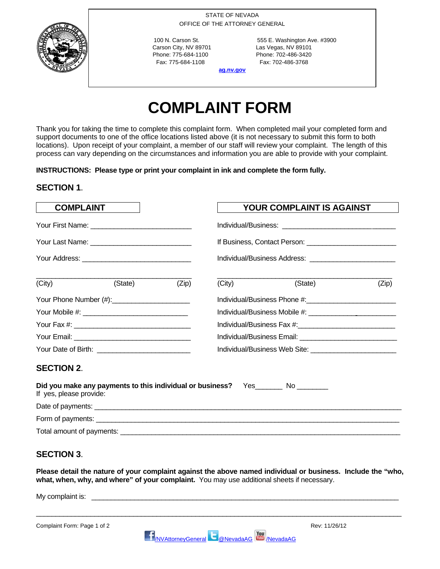STATE OF NEVADA OFFICE OF THE ATTORNEY GENERAL

Carson City, NV 89701 Las Vegas, NV 89101 Phone: 775-684-1100 Phone: 702-486-3420 Fax: 775-684-1108 Fax: 702-486-3768

100 N. Carson St. 555 E. Washington Ave. #3900

**ag.nv.gov**

# **COMPLAINT FORM**

Thank you for taking the time to complete this complaint form. When completed mail your completed form and support documents to one of the office locations listed above (it is not necessary to submit this form to both locations). Upon receipt of your complaint, a member of our staff will review your complaint. The length of this process can vary depending on the circumstances and information you are able to provide with your complaint.

**INSTRUCTIONS: Please type or print your complaint in ink and complete the form fully.** 

## **SECTION 1**.

| <b>COMPLAINT</b>        |                                                                                    |       | <b>YOUR COMPLAINT IS AGAINST</b>                                                                                                                                                                                               |         |       |
|-------------------------|------------------------------------------------------------------------------------|-------|--------------------------------------------------------------------------------------------------------------------------------------------------------------------------------------------------------------------------------|---------|-------|
|                         |                                                                                    |       |                                                                                                                                                                                                                                |         |       |
|                         |                                                                                    |       |                                                                                                                                                                                                                                |         |       |
|                         |                                                                                    |       |                                                                                                                                                                                                                                |         |       |
| (City)                  | (State)                                                                            | (Zip) | (City)                                                                                                                                                                                                                         | (State) | (Zip) |
|                         |                                                                                    |       |                                                                                                                                                                                                                                |         |       |
|                         |                                                                                    |       | Individual/Business Mobile #: \\connection \\connection \\connection \\connection \\connection \\connection \\connection \\connection \\connection \\connection \\connection \\connection \\connection \\connection \\connecti |         |       |
|                         |                                                                                    |       |                                                                                                                                                                                                                                |         |       |
|                         |                                                                                    |       |                                                                                                                                                                                                                                |         |       |
|                         |                                                                                    |       |                                                                                                                                                                                                                                |         |       |
| <b>SECTION 2.</b>       |                                                                                    |       |                                                                                                                                                                                                                                |         |       |
| If yes, please provide: | Did you make any payments to this individual or business? Yes_________ No ________ |       |                                                                                                                                                                                                                                |         |       |
|                         |                                                                                    |       |                                                                                                                                                                                                                                |         |       |
|                         |                                                                                    |       |                                                                                                                                                                                                                                |         |       |
|                         |                                                                                    |       |                                                                                                                                                                                                                                |         |       |

## **SECTION 3**.

**Please detail the nature of your complaint against the above named individual or business. Include the "who, what, when, why, and where" of your complaint.** You may use additional sheets if necessary.

My complaint is:

Complaint Form: Page 1 of 2 Rev: 11/26/12

\_\_\_\_\_\_\_\_\_\_\_\_\_\_\_\_\_\_\_\_\_\_\_\_\_\_\_\_\_\_\_\_\_\_\_\_\_\_\_\_\_\_\_\_\_\_\_\_\_\_\_\_\_\_\_\_\_\_\_\_\_\_\_\_\_\_\_\_\_\_\_\_\_\_\_\_\_\_\_\_\_\_\_\_\_\_\_\_\_\_\_\_\_\_